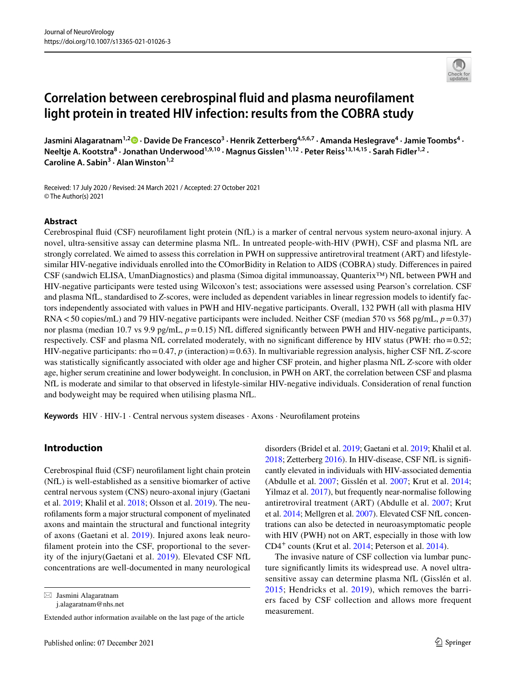# **Correlation between cerebrospinal fluid and plasma neurofilament light protein in treated HIV infection: results from the COBRA study**

**Jasmini Alagaratnam1,2  [·](http://orcid.org/0000-0003-2256-423X) Davide De Francesco3 · Henrik Zetterberg4,5,6,7 · Amanda Heslegrave4 · Jamie Toombs<sup>4</sup> · Neeltje A. Kootstra8 · Jonathan Underwood1,9,10 · Magnus Gisslen11,12 · Peter Reiss13,14,15 · Sarah Fidler1,2 · Caroline A. Sabin<sup>3</sup> · Alan Winston1,2**

Received: 17 July 2020 / Revised: 24 March 2021 / Accepted: 27 October 2021 © The Author(s) 2021

#### **Abstract**

Cerebrospinal fuid (CSF) neuroflament light protein (NfL) is a marker of central nervous system neuro-axonal injury. A novel, ultra-sensitive assay can determine plasma NfL. In untreated people-with-HIV (PWH), CSF and plasma NfL are strongly correlated. We aimed to assess this correlation in PWH on suppressive antiretroviral treatment (ART) and lifestylesimilar HIV-negative individuals enrolled into the COmorBidity in Relation to AIDS (COBRA) study. Diferences in paired CSF (sandwich ELISA, UmanDiagnostics) and plasma (Simoa digital immunoassay, Quanterix™) NfL between PWH and HIV-negative participants were tested using Wilcoxon's test; associations were assessed using Pearson's correlation. CSF and plasma NfL, standardised to *Z*-scores, were included as dependent variables in linear regression models to identify factors independently associated with values in PWH and HIV-negative participants. Overall, 132 PWH (all with plasma HIV RNA<50 copies/mL) and 79 HIV-negative participants were included. Neither CSF (median 570 vs 568 pg/mL, *p*=0.37) nor plasma (median 10.7 vs 9.9 pg/mL,  $p=0.15$ ) NfL differed significantly between PWH and HIV-negative participants, respectively. CSF and plasma NfL correlated moderately, with no significant difference by HIV status (PWH: rho=0.52; HIV-negative participants: rho=0.47, *p* (interaction)=0.63). In multivariable regression analysis, higher CSF NfL *Z*-score was statistically signifcantly associated with older age and higher CSF protein, and higher plasma NfL *Z*-score with older age, higher serum creatinine and lower bodyweight. In conclusion, in PWH on ART, the correlation between CSF and plasma NfL is moderate and similar to that observed in lifestyle-similar HIV-negative individuals. Consideration of renal function and bodyweight may be required when utilising plasma NfL.

**Keywords** HIV · HIV-1 · Central nervous system diseases · Axons · Neuroflament proteins

# **Introduction**

Cerebrospinal fuid (CSF) neuroflament light chain protein (NfL) is well-established as a sensitive biomarker of active central nervous system (CNS) neuro-axonal injury (Gaetani et al. [2019;](#page-8-0) Khalil et al. [2018;](#page-8-1) Olsson et al. [2019\)](#page-8-2). The neuroflaments form a major structural component of myelinated axons and maintain the structural and functional integrity of axons (Gaetani et al. [2019\)](#page-8-0). Injured axons leak neuroflament protein into the CSF, proportional to the severity of the injury(Gaetani et al. [2019](#page-8-0)). Elevated CSF NfL concentrations are well-documented in many neurological

 $\boxtimes$  Jasmini Alagaratnam j.alagaratnam@nhs.net

Extended author information available on the last page of the article

disorders (Bridel et al. [2019](#page-8-3); Gaetani et al. [2019;](#page-8-0) Khalil et al. [2018](#page-8-1); Zetterberg [2016\)](#page-9-0). In HIV-disease, CSF NfL is signifcantly elevated in individuals with HIV-associated dementia (Abdulle et al. [2007](#page-8-4); Gisslén et al. [2007;](#page-8-5) Krut et al. [2014](#page-8-6); Yilmaz et al. [2017\)](#page-9-1), but frequently near-normalise following antiretroviral treatment (ART) (Abdulle et al. [2007](#page-8-4); Krut et al. [2014;](#page-8-6) Mellgren et al. [2007\)](#page-8-7). Elevated CSF NfL concentrations can also be detected in neuroasymptomatic people with HIV (PWH) not on ART, especially in those with low CD4+ counts (Krut et al. [2014;](#page-8-6) Peterson et al. [2014](#page-9-2)).

The invasive nature of CSF collection via lumbar puncture signifcantly limits its widespread use. A novel ultrasensitive assay can determine plasma NfL (Gisslén et al. [2015](#page-8-8); Hendricks et al. [2019](#page-8-9)), which removes the barriers faced by CSF collection and allows more frequent measurement.

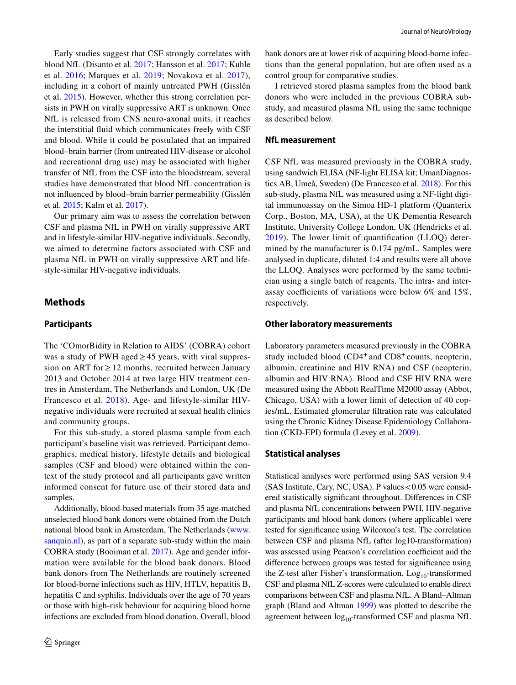Early studies suggest that CSF strongly correlates with blood NfL (Disanto et al. [2017;](#page-8-10) Hansson et al. [2017](#page-8-11); Kuhle et al. [2016](#page-8-12); Marques et al. [2019;](#page-8-13) Novakova et al. [2017](#page-8-14)), including in a cohort of mainly untreated PWH (Gisslén et al. [2015](#page-8-8)). However, whether this strong correlation persists in PWH on virally suppressive ART is unknown. Once NfL is released from CNS neuro-axonal units, it reaches the interstitial fuid which communicates freely with CSF and blood. While it could be postulated that an impaired blood–brain barrier (from untreated HIV-disease or alcohol and recreational drug use) may be associated with higher transfer of NfL from the CSF into the bloodstream, several studies have demonstrated that blood NfL concentration is not infuenced by blood–brain barrier permeability (Gisslén et al. [2015](#page-8-8); Kalm et al. [2017](#page-8-15)).

Our primary aim was to assess the correlation between CSF and plasma NfL in PWH on virally suppressive ART and in lifestyle-similar HIV-negative individuals. Secondly, we aimed to determine factors associated with CSF and plasma NfL in PWH on virally suppressive ART and lifestyle-similar HIV-negative individuals.

# **Methods**

#### **Participants**

The 'COmorBidity in Relation to AIDS' (COBRA) cohort was a study of PWH aged  $\geq$  45 years, with viral suppression on ART for  $\geq$  12 months, recruited between January 2013 and October 2014 at two large HIV treatment centres in Amsterdam, The Netherlands and London, UK (De Francesco et al. [2018\)](#page-8-16). Age- and lifestyle-similar HIVnegative individuals were recruited at sexual health clinics and community groups.

For this sub-study, a stored plasma sample from each participant's baseline visit was retrieved. Participant demographics, medical history, lifestyle details and biological samples (CSF and blood) were obtained within the context of the study protocol and all participants gave written informed consent for future use of their stored data and samples.

Additionally, blood-based materials from 35 age-matched unselected blood bank donors were obtained from the Dutch national blood bank in Amsterdam, The Netherlands ([www.](http://www.sanquin.nl) [sanquin.nl\)](http://www.sanquin.nl), as part of a separate sub-study within the main COBRA study (Booiman et al. [2017\)](#page-8-17). Age and gender information were available for the blood bank donors. Blood bank donors from The Netherlands are routinely screened for blood-borne infections such as HIV, HTLV, hepatitis B, hepatitis C and syphilis. Individuals over the age of 70 years or those with high-risk behaviour for acquiring blood borne infections are excluded from blood donation. Overall, blood bank donors are at lower risk of acquiring blood-borne infections than the general population, but are often used as a control group for comparative studies.

I retrieved stored plasma samples from the blood bank donors who were included in the previous COBRA substudy, and measured plasma NfL using the same technique as described below.

#### **NfL measurement**

CSF NfL was measured previously in the COBRA study, using sandwich ELISA (NF-light ELISA kit; UmanDiagnostics AB, Umeå, Sweden) (De Francesco et al. [2018\)](#page-8-16). For this sub-study, plasma NfL was measured using a NF-light digital immunoassay on the Simoa HD-1 platform (Quanterix Corp., Boston, MA, USA), at the UK Dementia Research Institute, University College London, UK (Hendricks et al. [2019](#page-8-9)). The lower limit of quantifcation (LLOQ) determined by the manufacturer is 0.174 pg/mL. Samples were analysed in duplicate, diluted 1:4 and results were all above the LLOQ. Analyses were performed by the same technician using a single batch of reagents. The intra- and interassay coefficients of variations were below  $6\%$  and  $15\%,$ respectively.

#### **Other laboratory measurements**

Laboratory parameters measured previously in the COBRA study included blood (CD4<sup>+</sup> and CD8<sup>+</sup> counts, neopterin, albumin, creatinine and HIV RNA) and CSF (neopterin, albumin and HIV RNA). Blood and CSF HIV RNA were measured using the Abbott RealTime M2000 assay (Abbot, Chicago, USA) with a lower limit of detection of 40 copies/mL. Estimated glomerular fltration rate was calculated using the Chronic Kidney Disease Epidemiology Collaboration (CKD-EPI) formula (Levey et al. [2009](#page-8-18)).

### **Statistical analyses**

Statistical analyses were performed using SAS version 9.4 (SAS Institute, Cary, NC, USA). P values  $< 0.05$  were considered statistically signifcant throughout. Diferences in CSF and plasma NfL concentrations between PWH, HIV-negative participants and blood bank donors (where applicable) were tested for signifcance using Wilcoxon's test. The correlation between CSF and plasma NfL (after log10-transformation) was assessed using Pearson's correlation coefficient and the diference between groups was tested for signifcance using the Z-test after Fisher's transformation.  $Log_{10}$ -transformed CSF and plasma NfL Z-scores were calculated to enable direct comparisons between CSF and plasma NfL. A Bland–Altman graph (Bland and Altman [1999](#page-8-19)) was plotted to describe the agreement between  $log_{10}$ -transformed CSF and plasma NfL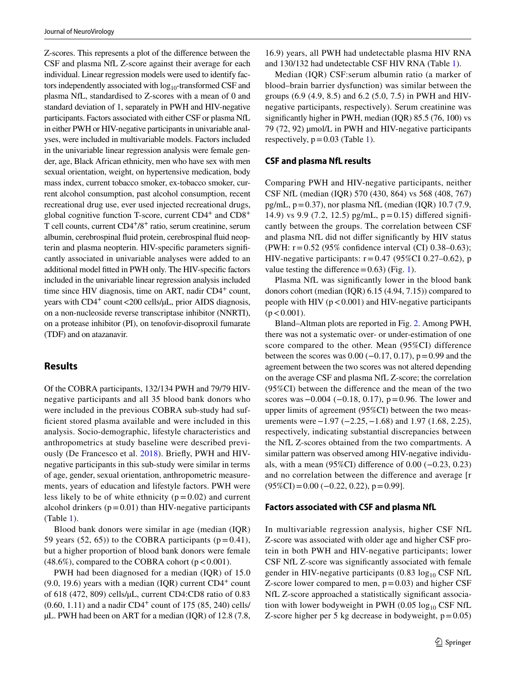Z-scores. This represents a plot of the diference between the CSF and plasma NfL Z-score against their average for each individual. Linear regression models were used to identify factors independently associated with  $log_{10}$ -transformed CSF and plasma NfL, standardised to Z-scores with a mean of 0 and standard deviation of 1, separately in PWH and HIV-negative participants. Factors associated with either CSF or plasma NfL in either PWH or HIV-negative participants in univariable analyses, were included in multivariable models. Factors included in the univariable linear regression analysis were female gender, age, Black African ethnicity, men who have sex with men sexual orientation, weight, on hypertensive medication, body mass index, current tobacco smoker, ex-tobacco smoker, current alcohol consumption, past alcohol consumption, recent recreational drug use, ever used injected recreational drugs, global cognitive function T-score, current  $CD4^+$  and  $CD8^+$ T cell counts, current CD4+/8+ ratio, serum creatinine, serum albumin, cerebrospinal fuid protein, cerebrospinal fuid neopterin and plasma neopterin. HIV-specifc parameters signifcantly associated in univariable analyses were added to an additional model ftted in PWH only. The HIV-specifc factors included in the univariable linear regression analysis included time since HIV diagnosis, time on ART, nadir CD4<sup>+</sup> count, years with CD4<sup>+</sup> count <200 cells/ $\mu$ L, prior AIDS diagnosis, on a non-nucleoside reverse transcriptase inhibitor (NNRTI), on a protease inhibitor (PI), on tenofovir-disoproxil fumarate (TDF) and on atazanavir.

# **Results**

Of the COBRA participants, 132/134 PWH and 79/79 HIVnegative participants and all 35 blood bank donors who were included in the previous COBRA sub-study had suffcient stored plasma available and were included in this analysis. Socio-demographic, lifestyle characteristics and anthropometrics at study baseline were described previously (De Francesco et al. [2018](#page-8-16)). Briefy, PWH and HIVnegative participants in this sub-study were similar in terms of age, gender, sexual orientation, anthropometric measurements, years of education and lifestyle factors. PWH were less likely to be of white ethnicity  $(p=0.02)$  and current alcohol drinkers  $(p=0.01)$  than HIV-negative participants (Table [1\)](#page-3-0).

Blood bank donors were similar in age (median (IQR) 59 years (52, 65)) to the COBRA participants ( $p=0.41$ ), but a higher proportion of blood bank donors were female  $(48.6\%)$ , compared to the COBRA cohort ( $p < 0.001$ ).

PWH had been diagnosed for a median (IQR) of 15.0  $(9.0, 19.6)$  years with a median  $(IQR)$  current  $CD4<sup>+</sup>$  count of 618 (472, 809) cells/µL, current CD4:CD8 ratio of 0.83  $(0.60, 1.11)$  and a nadir CD4<sup>+</sup> count of 175 (85, 240) cells/ µL. PWH had been on ART for a median (IQR) of 12.8 (7.8,

16.9) years, all PWH had undetectable plasma HIV RNA and 130/132 had undetectable CSF HIV RNA (Table [1](#page-3-0)).

Median (IQR) CSF:serum albumin ratio (a marker of blood–brain barrier dysfunction) was similar between the groups (6.9 (4.9, 8.5) and 6.2 (5.0, 7.5) in PWH and HIVnegative participants, respectively). Serum creatinine was signifcantly higher in PWH, median (IQR) 85.5 (76, 100) vs 79 (72, 92) µmol/L in PWH and HIV-negative participants respectively,  $p = 0.03$  (Table [1](#page-3-0)).

#### **CSF and plasma NfL results**

Comparing PWH and HIV-negative participants, neither CSF NfL (median (IQR) 570 (430, 864) vs 568 (408, 767) pg/mL,  $p = 0.37$ ), nor plasma NfL (median (IQR) 10.7 (7.9, 14.9) vs 9.9 (7.2, 12.5) pg/mL,  $p=0.15$ ) differed significantly between the groups. The correlation between CSF and plasma NfL did not difer signifcantly by HIV status (PWH: r=0.52 (95% confdence interval (CI) 0.38–0.63); HIV-negative participants:  $r=0.47$  (95%CI 0.27–0.62), p value testing the difference =  $0.63$ ) (Fig. [1\)](#page-4-0).

Plasma NfL was signifcantly lower in the blood bank donors cohort (median (IQR) 6.15 (4.94, 7.15)) compared to people with HIV  $(p < 0.001)$  and HIV-negative participants  $(p < 0.001)$ .

Bland–Altman plots are reported in Fig. [2.](#page-4-1) Among PWH, there was not a systematic over- or under-estimation of one score compared to the other. Mean (95%CI) difference between the scores was  $0.00$  ( $-0.17$ ,  $0.17$ ),  $p = 0.99$  and the agreement between the two scores was not altered depending on the average CSF and plasma NfL Z-score; the correlation (95%CI) between the diference and the mean of the two scores was –0.004 (−0.18, 0.17), p = 0.96. The lower and upper limits of agreement (95%CI) between the two measurements were  $-1.97$  ( $-2.25$ ,  $-1.68$ ) and 1.97 (1.68, 2.25), respectively, indicating substantial discrepancies between the NfL Z-scores obtained from the two compartments. A similar pattern was observed among HIV-negative individuals, with a mean (95%CI) diference of 0.00 (−0.23, 0.23) and no correlation between the diference and average [r  $(95\%CI) = 0.00$  (-0.22, 0.22), p=0.99].

#### **Factors associated with CSF and plasma NfL**

In multivariable regression analysis, higher CSF NfL Z-score was associated with older age and higher CSF protein in both PWH and HIV-negative participants; lower CSF NfL Z-score was signifcantly associated with female gender in HIV-negative participants  $(0.83 \log_{10} \text{CSF NfL})$ Z-score lower compared to men,  $p=0.03$ ) and higher CSF NfL Z-score approached a statistically signifcant association with lower bodyweight in PWH (0.05  $log_{10}$  CSF NfL Z-score higher per 5 kg decrease in bodyweight,  $p=0.05$ )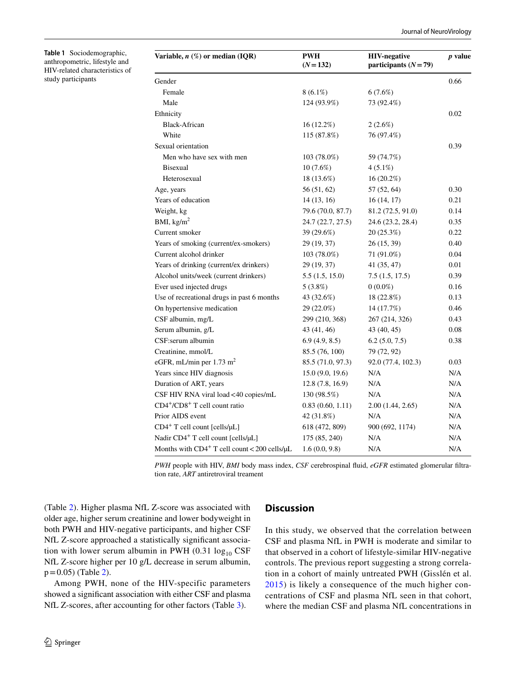<span id="page-3-0"></span>**Table 1** Sociodemographic, anthropometric, lifestyle and HIV-related characteristics of study participants

| Variable, $n \ (\%)$ or median (IQR)                  | <b>PWH</b><br>$(N = 132)$ | <b>HIV-negative</b><br>participants $(N=79)$ |      |
|-------------------------------------------------------|---------------------------|----------------------------------------------|------|
| Gender                                                |                           |                                              | 0.66 |
| Female                                                | $8(6.1\%)$                | $6(7.6\%)$                                   |      |
| Male                                                  | 124 (93.9%)               | 73 (92.4%)                                   |      |
| Ethnicity                                             |                           |                                              | 0.02 |
| <b>Black-African</b>                                  | $16(12.2\%)$              | $2(2.6\%)$                                   |      |
| White                                                 | 115 (87.8%)               | 76 (97.4%)                                   |      |
| Sexual orientation                                    |                           |                                              | 0.39 |
| Men who have sex with men                             | 103 (78.0%)               | 59 (74.7%)                                   |      |
| <b>Bisexual</b>                                       | $10(7.6\%)$               | $4(5.1\%)$                                   |      |
| Heterosexual                                          | 18 (13.6%)                | 16 (20.2%)                                   |      |
| Age, years                                            | 56 (51, 62)               | 57 (52, 64)                                  | 0.30 |
| Years of education                                    | 14(13, 16)                | 16(14, 17)                                   | 0.21 |
| Weight, kg                                            | 79.6 (70.0, 87.7)         | 81.2 (72.5, 91.0)                            | 0.14 |
| BMI, $\text{kg/m}^2$                                  | 24.7 (22.7, 27.5)         | 24.6 (23.2, 28.4)                            | 0.35 |
| Current smoker                                        | 39 (29.6%)                | 20(25.3%)                                    | 0.22 |
| Years of smoking (current/ex-smokers)                 | 29 (19, 37)               | 26(15, 39)                                   | 0.40 |
| Current alcohol drinker                               | 103 (78.0%)               | 71 (91.0%)                                   | 0.04 |
| Years of drinking (current/ex drinkers)               | 29 (19, 37)               | 41 (35, 47)                                  | 0.01 |
| Alcohol units/week (current drinkers)                 | 5.5(1.5, 15.0)            | 7.5(1.5, 17.5)                               | 0.39 |
| Ever used injected drugs                              | $5(3.8\%)$                | $0(0.0\%)$                                   | 0.16 |
| Use of recreational drugs in past 6 months            | 43 (32.6%)                | 18 (22.8%)                                   | 0.13 |
| On hypertensive medication                            | 29 (22.0%)                | 14 (17.7%)                                   | 0.46 |
| CSF albumin, mg/L                                     | 299 (210, 368)            | 267 (214, 326)                               | 0.43 |
| Serum albumin, g/L                                    | 43 (41, 46)               | 43 (40, 45)                                  | 0.08 |
| CSF:serum albumin                                     | 6.9(4.9, 8.5)             | 6.2(5.0, 7.5)                                | 0.38 |
| Creatinine, mmol/L                                    | 85.5 (76, 100)            | 79 (72, 92)                                  |      |
| eGFR, mL/min per $1.73 \text{ m}^2$                   | 85.5 (71.0, 97.3)         | 92.0 (77.4, 102.3)                           | 0.03 |
| Years since HIV diagnosis                             | 15.0(9.0, 19.6)           | N/A                                          | N/A  |
| Duration of ART, years                                | 12.8(7.8, 16.9)           | N/A                                          | N/A  |
| CSF HIV RNA viral load <40 copies/mL                  | 130 (98.5%)               | N/A                                          | N/A  |
| CD4+/CD8+ T cell count ratio                          | 0.83(0.60, 1.11)          | 2.00(1.44, 2.65)                             | N/A  |
| Prior AIDS event                                      | 42 (31.8%)                | N/A                                          | N/A  |
| $CD4^+$ T cell count [cells/ $\mu$ L]                 | 618 (472, 809)            | 900 (692, 1174)                              | N/A  |
| Nadir CD4 <sup>+</sup> T cell count [cells/µL]        | 175 (85, 240)             | N/A                                          | N/A  |
| Months with $CD4^+$ T cell count < 200 cells/ $\mu$ L | 1.6(0.0, 9.8)             | N/A                                          | N/A  |

*PWH* people with HIV, *BMI* body mass index, *CSF* cerebrospinal fuid, *eGFR* estimated glomerular fltration rate, *ART* antiretroviral treament

(Table [2\)](#page-5-0). Higher plasma NfL Z-score was associated with older age, higher serum creatinine and lower bodyweight in both PWH and HIV-negative participants, and higher CSF NfL Z-score approached a statistically signifcant association with lower serum albumin in PWH (0.31  $log_{10}$  CSF NfL Z-score higher per 10 g/L decrease in serum albumin,  $p = 0.05$ ) (Table [2\)](#page-5-0).

Among PWH, none of the HIV-specific parameters showed a signifcant association with either CSF and plasma NfL Z-scores, after accounting for other factors (Table [3](#page-6-0)).

# **Discussion**

In this study, we observed that the correlation between CSF and plasma NfL in PWH is moderate and similar to that observed in a cohort of lifestyle-similar HIV-negative controls. The previous report suggesting a strong correlation in a cohort of mainly untreated PWH (Gisslén et al. [2015](#page-8-8)) is likely a consequence of the much higher concentrations of CSF and plasma NfL seen in that cohort, where the median CSF and plasma NfL concentrations in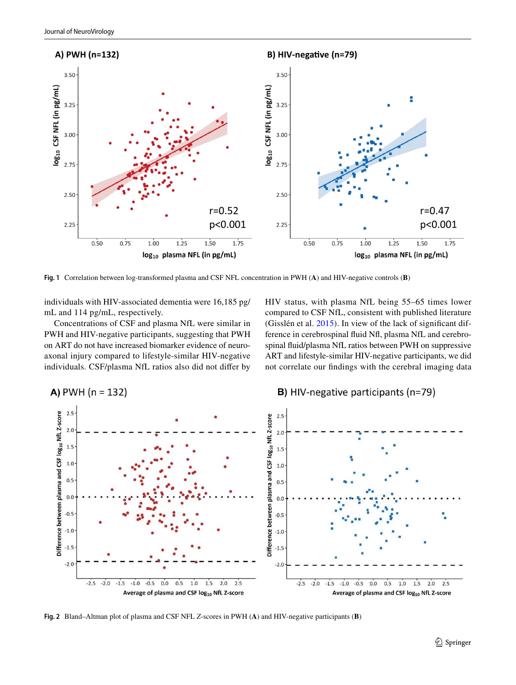

<span id="page-4-0"></span>**Fig. 1** Correlation between log-transformed plasma and CSF NFL concentration in PWH (**A**) and HIV-negative controls (**B**)

individuals with HIV-associated dementia were 16,185 pg/ mL and 114 pg/mL, respectively.

Concentrations of CSF and plasma NfL were similar in PWH and HIV-negative participants, suggesting that PWH on ART do not have increased biomarker evidence of neuroaxonal injury compared to lifestyle-similar HIV-negative individuals. CSF/plasma NfL ratios also did not difer by HIV status, with plasma NfL being 55–65 times lower compared to CSF NfL, consistent with published literature (Gisslén et al. [2015\)](#page-8-8). In view of the lack of signifcant difference in cerebrospinal fuid Nf, plasma NfL and cerebrospinal fuid/plasma NfL ratios between PWH on suppressive ART and lifestyle-similar HIV-negative participants, we did not correlate our fndings with the cerebral imaging data



<span id="page-4-1"></span>**Fig. 2** Bland–Altman plot of plasma and CSF NFL *Z*-scores in PWH (**A**) and HIV-negative participants (**B**)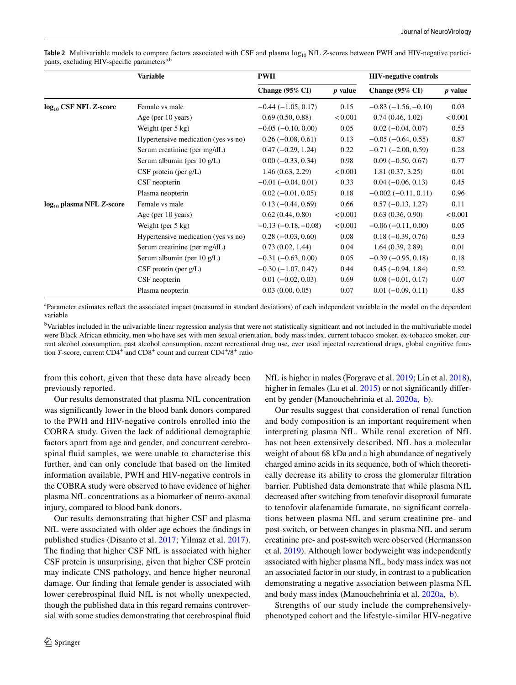|                                      | <b>Variable</b>                     | <b>PWH</b>                 |           | <b>HIV-negative controls</b> |                |
|--------------------------------------|-------------------------------------|----------------------------|-----------|------------------------------|----------------|
|                                      |                                     | Change $(95\% \text{ CI})$ | $p$ value | Change $(95\% \text{ CI})$   | <i>p</i> value |
| log <sub>10</sub> CSF NFL Z-score    | Female vs male                      | $-0.44(-1.05, 0.17)$       | 0.15      | $-0.83(-1.56,-0.10)$         | 0.03           |
|                                      | Age (per 10 years)                  | 0.69(0.50, 0.88)           | < 0.001   | 0.74(0.46, 1.02)             | < 0.001        |
|                                      | Weight (per $5 \text{ kg}$ )        | $-0.05$ ( $-0.10, 0.00$ )  | 0.05      | $0.02(-0.04, 0.07)$          | 0.55           |
|                                      | Hypertensive medication (yes vs no) | $0.26(-0.08, 0.61)$        | 0.13      | $-0.05(-0.64, 0.55)$         | 0.87           |
|                                      | Serum creatinine (per mg/dL)        | $0.47(-0.29, 1.24)$        | 0.22      | $-0.71(-2.00, 0.59)$         | 0.28           |
|                                      | Serum albumin (per 10 g/L)          | $0.00 (-0.33, 0.34)$       | 0.98      | $0.09(-0.50, 0.67)$          | 0.77           |
|                                      | $CSF$ protein (per $g/L$ )          | 1.46(0.63, 2.29)           | < 0.001   | 1.81(0.37, 3.25)             | 0.01           |
|                                      | CSF neopterin                       | $-0.01(-0.04, 0.01)$       | 0.33      | $0.04 (-0.06, 0.13)$         | 0.45           |
|                                      | Plasma neopterin                    | $0.02(-0.01, 0.05)$        | 0.18      | $-0.002(-0.11, 0.11)$        | 0.96           |
| log <sub>10</sub> plasma NFL Z-score | Female vs male                      | $0.13(-0.44, 0.69)$        | 0.66      | $0.57(-0.13, 1.27)$          | 0.11           |
|                                      | Age (per 10 years)                  | 0.62(0.44, 0.80)           | < 0.001   | 0.63(0.36, 0.90)             | < 0.001        |
|                                      | Weight (per $5$ kg)                 | $-0.13(-0.18,-0.08)$       | < 0.001   | $-0.06(-0.11, 0.00)$         | 0.05           |
|                                      | Hypertensive medication (yes vs no) | $0.28(-0.03, 0.60)$        | 0.08      | $0.18(-0.39, 0.76)$          | 0.53           |
|                                      | Serum creatinine (per mg/dL)        | 0.73(0.02, 1.44)           | 0.04      | 1.64(0.39, 2.89)             | 0.01           |
|                                      | Serum albumin (per $10 g/L$ )       | $-0.31(-0.63, 0.00)$       | 0.05      | $-0.39(-0.95, 0.18)$         | 0.18           |
|                                      | $CSF$ protein (per $g/L$ )          | $-0.30(-1.07, 0.47)$       | 0.44      | $0.45(-0.94, 1.84)$          | 0.52           |
|                                      | CSF neopterin                       | $0.01 (-0.02, 0.03)$       | 0.69      | $0.08(-0.01, 0.17)$          | 0.07           |
|                                      | Plasma neopterin                    | 0.03(0.00, 0.05)           | 0.07      | $0.01 (-0.09, 0.11)$         | 0.85           |

<span id="page-5-0"></span>**Table 2** Multivariable models to compare factors associated with CSF and plasma log<sub>10</sub> NfL *Z*-scores between PWH and HIV-negative participants, excluding HIV-specific parameters<sup>a,b</sup>

a Parameter estimates refect the associated impact (measured in standard deviations) of each independent variable in the model on the dependent variable

<sup>b</sup>Variables included in the univariable linear regression analysis that were not statistically significant and not included in the multivariable model were Black African ethnicity, men who have sex with men sexual orientation, body mass index, current tobacco smoker, ex-tobacco smoker, current alcohol consumption, past alcohol consumption, recent recreational drug use, ever used injected recreational drugs, global cognitive function *T*-score, current CD4<sup>+</sup> and CD8<sup>+</sup> count and current CD4<sup>+</sup>/8<sup>+</sup> ratio

from this cohort, given that these data have already been previously reported.

Our results demonstrated that plasma NfL concentration was signifcantly lower in the blood bank donors compared to the PWH and HIV-negative controls enrolled into the COBRA study. Given the lack of additional demographic factors apart from age and gender, and concurrent cerebrospinal fuid samples, we were unable to characterise this further, and can only conclude that based on the limited information available, PWH and HIV-negative controls in the COBRA study were observed to have evidence of higher plasma NfL concentrations as a biomarker of neuro-axonal injury, compared to blood bank donors.

Our results demonstrating that higher CSF and plasma NfL were associated with older age echoes the fndings in published studies (Disanto et al. [2017](#page-8-10); Yilmaz et al. [2017](#page-9-1)). The fnding that higher CSF NfL is associated with higher CSF protein is unsurprising, given that higher CSF protein may indicate CNS pathology, and hence higher neuronal damage. Our fnding that female gender is associated with lower cerebrospinal fuid NfL is not wholly unexpected, though the published data in this regard remains controversial with some studies demonstrating that cerebrospinal fuid NfL is higher in males (Forgrave et al. [2019](#page-8-20); Lin et al. [2018](#page-8-21)), higher in females (Lu et al. [2015\)](#page-8-22) or not significantly different by gender (Manouchehrinia et al. [2020a,](#page-8-23)  [b](#page-8-24)).

Our results suggest that consideration of renal function and body composition is an important requirement when interpreting plasma NfL. While renal excretion of NfL has not been extensively described, NfL has a molecular weight of about 68 kDa and a high abundance of negatively charged amino acids in its sequence, both of which theoretically decrease its ability to cross the glomerular fltration barrier. Published data demonstrate that while plasma NfL decreased after switching from tenofovir disoproxil fumarate to tenofovir alafenamide fumarate, no signifcant correlations between plasma NfL and serum creatinine pre- and post-switch, or between changes in plasma NfL and serum creatinine pre- and post-switch were observed (Hermansson et al. [2019\)](#page-8-25). Although lower bodyweight was independently associated with higher plasma NfL, body mass index was not an associated factor in our study, in contrast to a publication demonstrating a negative association between plasma NfL and body mass index (Manouchehrinia et al. [2020a,](#page-8-23)  [b](#page-8-24)).

Strengths of our study include the comprehensivelyphenotyped cohort and the lifestyle-similar HIV-negative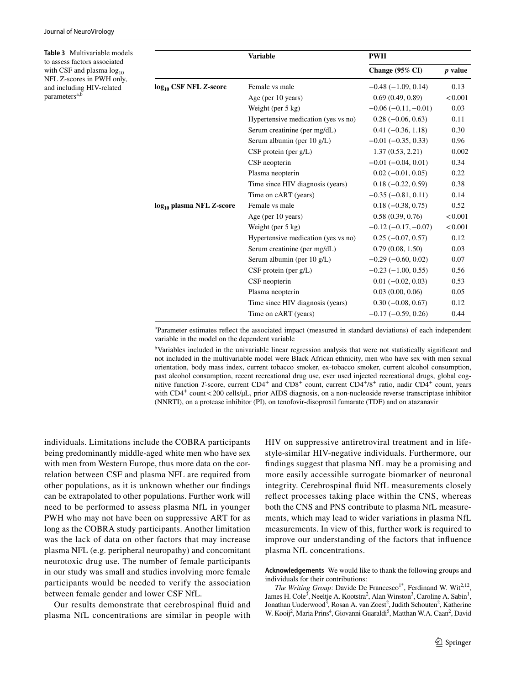<span id="page-6-0"></span>**Table 3** Multivariable models to assess factors associated with CSF and plasma  $log_{10}$ NFL Z-scores in PWH only, and including HIV-related  $parameters<sup>a,t</sup>$ **Variable PWH Change (95% CI)** *p* **value log<sub>10</sub> CSF NFL Z-score** Female vs male  $-0.48$  (−1.09, 0.14) 0.13 Age (per 10 years)  $0.69(0.49, 0.89)$  <0.001 Weight (per 5 kg)  $-0.06 (-0.11, -0.01)$  0.03 Hypertensive medication (yes vs no)  $0.28$  ( $-0.06$ , 0.63)  $0.11$ Serum creatinine (per mg/dL) 0.41 (−0.36, 1.18) 0.30 Serum albumin (per 10 g/L) −0.01 (−0.35, 0.33) 0.96 CSF protein (per g/L) 1.37 (0.53, 2.21) 0.002 CSF neopterin  $-0.01 (-0.04, 0.01)$  0.34 Plasma neopterin 0.02 (−0.01, 0.05) 0.22 Time since HIV diagnosis (years) 0.18 (−0.22, 0.59) 0.38 Time on cART (years)  $-0.35 (-0.81, 0.11)$  0.14 **log<sub>10</sub> plasma NFL** *Z***-score** Female vs male 0.18 (−0.38, 0.75) 0.52 Age (per 10 years) 0.58 (0.39, 0.76)  $\leq 0.001$ Weight (per 5 kg)  $-0.12 (-0.17, -0.07)$  <0.001 Hypertensive medication (yes vs no)  $0.25$  ( $-0.07$ , 0.57)  $0.12$ Serum creatinine (per mg/dL)  $0.79 (0.08, 1.50)$  0.03 Serum albumin (per  $10 g/L$ )  $-0.29 (-0.60, 0.02)$  0.07 CSF protein (per g/L)  $-0.23$   $(-1.00, 0.55)$  0.56 CSF neopterin 0.01 (−0.02, 0.03) 0.53 Plasma neopterin 0.03 (0.00, 0.06) 0.05 Time since HIV diagnosis (years) 0.30 (−0.08, 0.67) 0.12 Time on cART (years)  $-0.17 (-0.59, 0.26)$  0.44

> a Parameter estimates refect the associated impact (measured in standard deviations) of each independent variable in the model on the dependent variable

> <sup>b</sup>Variables included in the univariable linear regression analysis that were not statistically significant and not included in the multivariable model were Black African ethnicity, men who have sex with men sexual orientation, body mass index, current tobacco smoker, ex-tobacco smoker, current alcohol consumption, past alcohol consumption, recent recreational drug use, ever used injected recreational drugs, global cognitive function *T*-score, current CD4<sup>+</sup> and CD8<sup>+</sup> count, current CD4<sup>+</sup>/8<sup>+</sup> ratio, nadir CD4<sup>+</sup> count, years with CD4<sup>+</sup> count < 200 cells/µL, prior AIDS diagnosis, on a non-nucleoside reverse transcriptase inhibitor (NNRTI), on a protease inhibitor (PI), on tenofovir-disoproxil fumarate (TDF) and on atazanavir

individuals. Limitations include the COBRA participants being predominantly middle-aged white men who have sex with men from Western Europe, thus more data on the correlation between CSF and plasma NFL are required from other populations, as it is unknown whether our fndings can be extrapolated to other populations. Further work will need to be performed to assess plasma NfL in younger PWH who may not have been on suppressive ART for as long as the COBRA study participants. Another limitation was the lack of data on other factors that may increase plasma NFL (e.g. peripheral neuropathy) and concomitant neurotoxic drug use. The number of female participants in our study was small and studies involving more female participants would be needed to verify the association between female gender and lower CSF NfL.

Our results demonstrate that cerebrospinal fuid and plasma NfL concentrations are similar in people with HIV on suppressive antiretroviral treatment and in lifestyle-similar HIV-negative individuals. Furthermore, our fndings suggest that plasma NfL may be a promising and more easily accessible surrogate biomarker of neuronal integrity. Cerebrospinal fuid NfL measurements closely refect processes taking place within the CNS, whereas both the CNS and PNS contribute to plasma NfL measurements, which may lead to wider variations in plasma NfL measurements. In view of this, further work is required to improve our understanding of the factors that infuence plasma NfL concentrations.

**Acknowledgements** We would like to thank the following groups and individuals for their contributions:

*The Writing Group*: Davide De Francesco<sup>1\*</sup>, Ferdinand W. Wit<sup>2,12</sup>, James H. Cole<sup>3</sup>, Neeltje A. Kootstra<sup>2</sup>, Alan Winston<sup>3</sup>, Caroline A. Sabin<sup>1</sup>, Jonathan Underwood<sup>3</sup>, Rosan A. van Zoest<sup>2</sup>, Judith Schouten<sup>2</sup>, Katherine W. Kooij<sup>2</sup>, Maria Prins<sup>4</sup>, Giovanni Guaraldi<sup>5</sup>, Matthan W.A. Caan<sup>2</sup>, David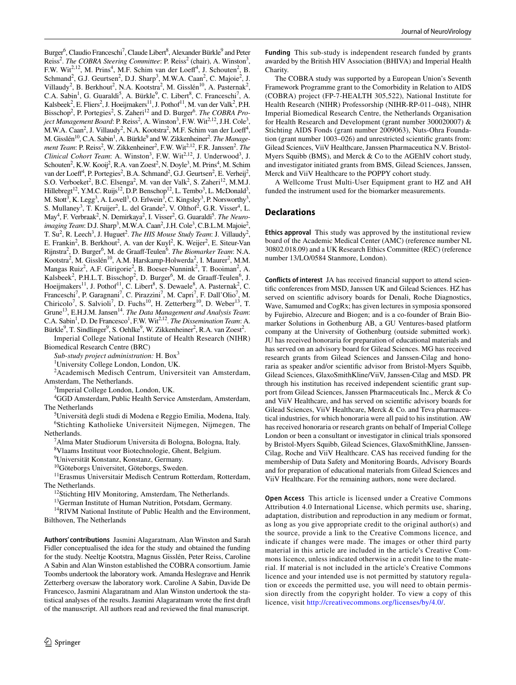Burger<sup>6</sup>, Claudio Franceschi<sup>7</sup>, Claude Libert<sup>8</sup>, Alexander Bürkle<sup>9</sup> and Peter Reiss<sup>2</sup>. *The COBRA Steering Committee:* P. Reiss<sup>2</sup> (chair), A. Winston<sup>3</sup>, F.W. Wit<sup>2,12</sup>, M. Prins<sup>4</sup>, M.F. Schim van der Loeff<sup>4</sup>, J. Schouten<sup>2</sup>, B. Schmand<sup>2</sup>, G.J. Geurtsen<sup>2</sup>, D.J. Sharp<sup>3</sup>, M.W.A. Caan<sup>2</sup>, C. Majoie<sup>2</sup>, J. Villaudy<sup>2</sup>, B. Berkhout<sup>2</sup>, N.A. Kootstra<sup>2</sup>, M. Gisslén<sup>10</sup>, A. Pasternak<sup>2</sup>, C.A. Sabin<sup>1</sup>, G. Guaraldi<sup>5</sup>, A. Bürkle<sup>9</sup>, C. Libert<sup>8</sup>, C. Franceschi<sup>7</sup>, A. Kalsbeek<sup>2</sup>, E. Fliers<sup>2</sup>, J. Hoeijmakers<sup>11</sup>, J. Pothof<sup>11</sup>, M. van der Valk<sup>2</sup>, P.H. Bisschop<sup>2</sup>, P. Portegies<sup>2</sup>, S. Zaheri<sup>12</sup> and D. Burger<sup>6</sup>. *The COBRA Project Management Board*: P. Reiss<sup>2</sup>, A. Winston<sup>3</sup>, F.W. Wit<sup>2,12</sup>, J.H. Cole<sup>3</sup>, M.W.A. Caan<sup>2</sup>, J. Villaudy<sup>2</sup>, N.A. Kootstra<sup>2</sup>, M.F. Schim van der Loeff<sup>4</sup>, M. Gisslén<sup>10</sup>, C.A. Sabin<sup>1</sup>, A. Bürkle<sup>9</sup> and W. Zikkenheiner<sup>2</sup>. *The Manage*ment Team: P. Reiss<sup>2</sup>, W. Zikkenheiner<sup>2</sup>, F.W. Wit<sup>2,12</sup>, F.R. Janssen<sup>2</sup>. The *Clinical Cohort Team*: A. Winston<sup>3</sup>, F.W. Wit<sup>2,12</sup>, J. Underwood<sup>3</sup>, J. Schouten<sup>2</sup>, K.W. Kooij<sup>2</sup>, R.A. van Zoest<sup>2</sup>, N. Doyle<sup>3</sup>, M. Prins<sup>4</sup>, M. Schim van der Loeff<sup>4</sup>, P. Portegies<sup>2</sup>, B.A. Schmand<sup>2</sup>, G.J. Geurtsen<sup>2</sup>, E. Verheij<sup>2</sup>, S.O. Verboeket<sup>2</sup>, B.C. Elsenga<sup>2</sup>, M. van der Valk<sup>2</sup>, S. Zaheri<sup>12</sup>, M.M.J. Hillebregt<sup>12</sup>, Y.M.C. Ruijs<sup>12</sup>, D.P. Benschop<sup>12</sup>, L. Tembo<sup>3</sup>, L. McDonald<sup>3</sup>, M. Stott<sup>3</sup>, K. Legg<sup>3</sup>, A. Lovell<sup>3</sup>, O. Erlwein<sup>3</sup>, C. Kingsley<sup>3</sup>, P. Norsworthy<sup>3</sup>, S. Mullaney<sup>3</sup>, T. Kruijer<sup>2</sup>, L. del Grande<sup>2</sup>, V. Olthof<sup>2</sup>, G.R. Visser<sup>4</sup>, L. May<sup>4</sup>, F. Verbraak<sup>2</sup>, N. Demirkaya<sup>2</sup>, I. Visser<sup>2</sup>, G. Guaraldi<sup>5</sup>. *The Neuro*imaging Team: D.J. Sharp<sup>3</sup>, M.W.A. Caan<sup>2</sup>, J.H. Cole<sup>3</sup>, C.B.L.M. Majoie<sup>2</sup>, T. Su<sup>2</sup>, R. Leech<sup>3</sup>, J. Huguet<sup>2</sup>. *The HIS Mouse Study Team*: J. Villaudy<sup>2</sup>, E. Frankin<sup>2</sup>, B. Berkhout<sup>2</sup>, A. van der Kuyl<sup>2</sup>, K. Weijer<sup>2</sup>, E. Siteur-Van Rijnstra<sup>2</sup>, D. Burger<sup>6</sup>, M. de Graaff-Teulen<sup>6</sup>. *The Biomarker Team*: N.A. Kootstra<sup>2</sup>, M. Gisslén<sup>10</sup>, A.M. Harskamp-Holwerda<sup>2</sup>, I. Maurer<sup>2</sup>, M.M. Mangas Ruiz<sup>2</sup>, A.F. Girigorie<sup>2</sup>, B. Boeser-Nunnink<sup>2</sup>, T. Booiman<sup>2</sup>, A. Kalsbeek<sup>2</sup>, P.H.L.T. Bisschop<sup>2</sup>, D. Burger<sup>6</sup>, M. de Graaff-Teulen<sup>6</sup>, J. Hoeijmakers<sup>11</sup>, J. Pothof<sup>11</sup>, C. Libert<sup>8</sup>, S. Dewaele<sup>8</sup>, A. Pasternak<sup>2</sup>, C. Franceschi<sup>7</sup>, P. Garagnani<sup>7</sup>, C. Pirazzini<sup>7</sup>, M. Capri<sup>7</sup>, F. Dall'Olio<sup>7</sup>, M. Chiricolo<sup>7</sup>, S. Salvioli<sup>7</sup>, D. Fuchs<sup>10</sup>, H. Zetterberg<sup>10</sup>, D. Weber<sup>13</sup>, T. Grune<sup>13</sup>, E.H.J.M. Jansen<sup>14</sup>. *The Data Management and Analysis Team*: C.A. Sabin<sup>1</sup>, D. De Francesco<sup>1</sup>, F.W. Wit<sup>2,12</sup>. *The Dissemination Team:* A. Bürkle<sup>9</sup>, T. Sindlinger<sup>9</sup>, S. Oehlke<sup>9</sup>, W. Zikkenheiner<sup>2</sup>, R.A. van Zoest<sup>2</sup>.

Imperial College National Institute of Health Research (NIHR) Biomedical Research Centre (BRC)

*Sub-study project administration:* H. Box<sup>3</sup>

<sup>1</sup>University College London, London, UK.

2 Academisch Medisch Centrum, Universiteit van Amsterdam, Amsterdam, The Netherlands.

<sup>3</sup>Imperial College London, London, UK.

4 GGD Amsterdam, Public Health Service Amsterdam, Amsterdam, The Netherlands

<sup>5</sup>Università degli studi di Modena e Reggio Emilia, Modena, Italy. 6 Stichting Katholieke Universiteit Nijmegen, Nijmegen, The Netherlands.

<sup>7</sup>Alma Mater Studiorum Universita di Bologna, Bologna, Italy.

8 Vlaams Instituut voor Biotechnologie, Ghent, Belgium.

9 Universität Konstanz, Konstanz, Germany.

10Göteborgs Universitet, Göteborgs, Sweden.

11Erasmus Universitair Medisch Centrum Rotterdam, Rotterdam,

The Netherlands.<br><sup>12</sup>Stichting HIV Monitoring, Amsterdam, The Netherlands.

<sup>13</sup>German Institute of Human Nutrition, Potsdam, Germany.

<sup>14</sup>RIVM National Institute of Public Health and the Environment, Bilthoven, The Netherlands

**Authors' contributions** Jasmini Alagaratnam, Alan Winston and Sarah Fidler conceptualised the idea for the study and obtained the funding for the study. Neeltje Kootstra, Magnus Gisslén, Peter Reiss, Caroline A Sabin and Alan Winston established the COBRA consortium. Jamie Toombs undertook the laboratory work. Amanda Heslegrave and Henrik Zetterberg oversaw the laboratory work. Caroline A Sabin, Davide De Francesco, Jasmini Alagaratnam and Alan Winston undertook the statistical analyses of the results. Jasmini Alagaratnam wrote the frst draft of the manuscript. All authors read and reviewed the fnal manuscript.

**Funding** This sub-study is independent research funded by grants awarded by the British HIV Association (BHIVA) and Imperial Health **Charity**.

The COBRA study was supported by a European Union's Seventh Framework Programme grant to the Comorbidity in Relation to AIDS (COBRA) project (FP-7-HEALTH 305,522), National Institute for Health Research (NIHR) Professorship (NIHR-RP-011–048), NIHR Imperial Biomedical Research Centre, the Netherlands Organisation for Health Research and Development (grant number 300020007) & Stichting AIDS Fonds (grant number 2009063), Nuts-Ohra Foundation (grant number 1003–026) and unrestricted scientifc grants from: Gilead Sciences, ViiV Healthcare, Janssen Pharmaceutica N.V. Bristol-Myers Squibb (BMS), and Merck & Co to the AGEhIV cohort study, and investigator initiated grants from BMS, Gilead Sciences, Janssen, Merck and ViiV Healthcare to the POPPY cohort study.

A Wellcome Trust Multi-User Equipment grant to HZ and AH funded the instrument used for the biomarker measurements.

# **Declarations**

**Ethics approval** This study was approved by the institutional review board of the Academic Medical Center (AMC) (reference number NL 30802.018.09) and a UK Research Ethics Committee (REC) (reference number 13/LO/0584 Stanmore, London).

**Conflicts of interest** JA has received fnancial support to attend scientifc conferences from MSD, Janssen UK and Gilead Sciences. HZ has served on scientifc advisory boards for Denali, Roche Diagnostics, Wave, Samumed and CogRx; has given lectures in symposia sponsored by Fujirebio, Alzecure and Biogen; and is a co-founder of Brain Biomarker Solutions in Gothenburg AB, a GU Ventures-based platform company at the University of Gothenburg (outside submitted work). JU has received honoraria for preparation of educational materials and has served on an advisory board for Gilead Sciences. MG has received research grants from Gilead Sciences and Janssen-Cilag and honoraria as speaker and/or scientifc advisor from Bristol-Myers Squibb, Gilead Sciences, GlaxoSmithKline/ViiV, Janssen-Cilag and MSD. PR through his institution has received independent scientifc grant support from Gilead Sciences, Janssen Pharmaceuticals Inc., Merck & Co and ViiV Healthcare, and has served on scientifc advisory boards for Gilead Sciences, ViiV Healthcare, Merck & Co. and Teva pharmaceutical industries, for which honoraria were all paid to his institution. AW has received honoraria or research grants on behalf of Imperial College London or been a consultant or investigator in clinical trials sponsored by Bristol-Myers Squibb, Gilead Sciences, GlaxoSmithKline, Janssen-Cilag, Roche and ViiV Healthcare. CAS has received funding for the membership of Data Safety and Monitoring Boards, Advisory Boards and for preparation of educational materials from Gilead Sciences and ViiV Healthcare. For the remaining authors, none were declared.

**Open Access** This article is licensed under a Creative Commons Attribution 4.0 International License, which permits use, sharing, adaptation, distribution and reproduction in any medium or format, as long as you give appropriate credit to the original author(s) and the source, provide a link to the Creative Commons licence, and indicate if changes were made. The images or other third party material in this article are included in the article's Creative Commons licence, unless indicated otherwise in a credit line to the material. If material is not included in the article's Creative Commons licence and your intended use is not permitted by statutory regulation or exceeds the permitted use, you will need to obtain permission directly from the copyright holder. To view a copy of this licence, visit<http://creativecommons.org/licenses/by/4.0/>.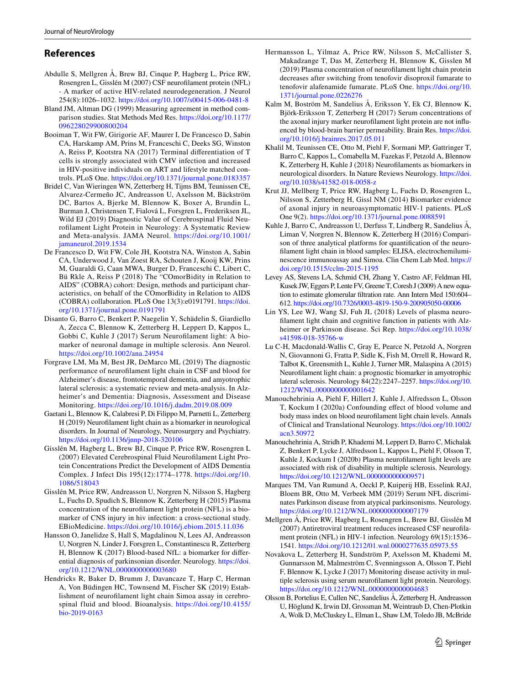# **References**

- <span id="page-8-4"></span>Abdulle S, Mellgren Å, Brew BJ, Cinque P, Hagberg L, Price RW, Rosengren L, Gisslén M (2007) CSF neuroflament protein (NFL) - A marker of active HIV-related neurodegeneration. J Neurol 254(8):1026–1032. <https://doi.org/10.1007/s00415-006-0481-8>
- <span id="page-8-19"></span>Bland JM, Altman DG (1999) Measuring agreement in method comparison studies. Stat Methods Med Res. [https://doi.org/10.1177/](https://doi.org/10.1177/096228029900800204) [096228029900800204](https://doi.org/10.1177/096228029900800204)
- <span id="page-8-17"></span>Booiman T, Wit FW, Girigorie AF, Maurer I, De Francesco D, Sabin CA, Harskamp AM, Prins M, Franceschi C, Deeks SG, Winston A, Reiss P, Kootstra NA (2017) Terminal diferentiation of T cells is strongly associated with CMV infection and increased in HIV-positive individuals on ART and lifestyle matched controls. PLoS One.<https://doi.org/10.1371/journal.pone.0183357>
- <span id="page-8-3"></span>Bridel C, Van Wieringen WN, Zetterberg H, Tijms BM, Teunissen CE, Alvarez-Cermeño JC, Andreasson U, Axelsson M, Bäckström DC, Bartos A, Bjerke M, Blennow K, Boxer A, Brundin L, Burman J, Christensen T, Fialová L, Forsgren L, Frederiksen JL, Wild EJ (2019) Diagnostic Value of Cerebrospinal Fluid Neuroflament Light Protein in Neurology: A Systematic Review and Meta-analysis. JAMA Neurol. [https://doi.org/10.1001/](https://doi.org/10.1001/jamaneurol.2019.1534) [jamaneurol.2019.1534](https://doi.org/10.1001/jamaneurol.2019.1534)
- <span id="page-8-16"></span>De Francesco D, Wit FW, Cole JH, Kootstra NA, Winston A, Sabin CA, Underwood J, Van Zoest RA, Schouten J, Kooij KW, Prins M, Guaraldi G, Caan MWA, Burger D, Franceschi C, Libert C, Bü Rkle A, Reiss P (2018) The "COmorBidity in Relation to AIDS" (COBRA) cohort: Design, methods and participant characteristics, on behalf of the COmorBidity in Relation to AIDS (COBRA) collaboration. PLoS One 13(3):e0191791. [https://doi.](https://doi.org/10.1371/journal.pone.0191791) [org/10.1371/journal.pone.0191791](https://doi.org/10.1371/journal.pone.0191791)
- <span id="page-8-10"></span>Disanto G, Barro C, Benkert P, Naegelin Y, Schädelin S, Giardiello A, Zecca C, Blennow K, Zetterberg H, Leppert D, Kappos L, Gobbi C, Kuhle J (2017) Serum Neuroflament light: A biomarker of neuronal damage in multiple sclerosis. Ann Neurol. <https://doi.org/10.1002/ana.24954>
- <span id="page-8-20"></span>Forgrave LM, Ma M, Best JR, DeMarco ML (2019) The diagnostic performance of neuroflament light chain in CSF and blood for Alzheimer's disease, frontotemporal dementia, and amyotrophic lateral sclerosis: a systematic review and meta-analysis. In Alzheimer's and Dementia: Diagnosis, Assessment and Disease Monitoring. <https://doi.org/10.1016/j.dadm.2019.08.009>
- <span id="page-8-0"></span>Gaetani L, Blennow K, Calabresi P, Di Filippo M, Parnetti L, Zetterberg H (2019) Neuroflament light chain as a biomarker in neurological disorders. In Journal of Neurology, Neurosurgery and Psychiatry. <https://doi.org/10.1136/jnnp-2018-320106>
- <span id="page-8-5"></span>Gisslén M, Hagberg L, Brew BJ, Cinque P, Price RW, Rosengren L (2007) Elevated Cerebrospinal Fluid Neuroflament Light Protein Concentrations Predict the Development of AIDS Dementia Complex. J Infect Dis 195(12):1774–1778. [https://doi.org/10.](https://doi.org/10.1086/518043) [1086/518043](https://doi.org/10.1086/518043)
- <span id="page-8-8"></span>Gisslén M, Price RW, Andreasson U, Norgren N, Nilsson S, Hagberg L, Fuchs D, Spudich S, Blennow K, Zetterberg H (2015) Plasma concentration of the neuroflament light protein (NFL) is a biomarker of CNS injury in hiv infection: a cross-sectional study. EBioMedicine. <https://doi.org/10.1016/j.ebiom.2015.11.036>
- <span id="page-8-11"></span>Hansson O, Janelidze S, Hall S, Magdalinou N, Lees AJ, Andreasson U, Norgren N, Linder J, Forsgren L, Constantinescu R, Zetterberg H, Blennow K (2017) Blood-based NfL: a biomarker for diferential diagnosis of parkinsonian disorder. Neurology. [https://doi.](https://doi.org/10.1212/WNL.0000000000003680) [org/10.1212/WNL.0000000000003680](https://doi.org/10.1212/WNL.0000000000003680)
- <span id="page-8-9"></span>Hendricks R, Baker D, Brumm J, Davancaze T, Harp C, Herman A, Von Büdingen HC, Townsend M, Fischer SK (2019) Establishment of neuroflament light chain Simoa assay in cerebrospinal fluid and blood. Bioanalysis. [https://doi.org/10.4155/](https://doi.org/10.4155/bio-2019-0163) [bio-2019-0163](https://doi.org/10.4155/bio-2019-0163)
- <span id="page-8-25"></span>Hermansson L, Yilmaz A, Price RW, Nilsson S, McCallister S, Makadzange T, Das M, Zetterberg H, Blennow K, Gisslen M (2019) Plasma concentration of neuroflament light chain protein decreases after switching from tenofovir disoproxil fumarate to tenofovir alafenamide fumarate. PLoS One. [https://doi.org/10.](https://doi.org/10.1371/journal.pone.0226276) [1371/journal.pone.0226276](https://doi.org/10.1371/journal.pone.0226276)
- <span id="page-8-15"></span>Kalm M, Boström M, Sandelius Å, Eriksson Y, Ek CJ, Blennow K, Björk-Eriksson T, Zetterberg H (2017) Serum concentrations of the axonal injury marker neuroflament light protein are not infuenced by blood-brain barrier permeability. Brain Res. [https://doi.](https://doi.org/10.1016/j.brainres.2017.05.011) [org/10.1016/j.brainres.2017.05.011](https://doi.org/10.1016/j.brainres.2017.05.011)
- <span id="page-8-1"></span>Khalil M, Teunissen CE, Otto M, Piehl F, Sormani MP, Gattringer T, Barro C, Kappos L, Comabella M, Fazekas F, Petzold A, Blennow K, Zetterberg H, Kuhle J (2018) Neuroflaments as biomarkers in neurological disorders. In Nature Reviews Neurology. [https://doi.](https://doi.org/10.1038/s41582-018-0058-z) [org/10.1038/s41582-018-0058-z](https://doi.org/10.1038/s41582-018-0058-z)
- <span id="page-8-6"></span>Krut JJ, Mellberg T, Price RW, Hagberg L, Fuchs D, Rosengren L, Nilsson S, Zetterberg H, Gissl NM (2014) Biomarker evidence of axonal injury in neuroasymptomatic HIV-1 patients. PLoS One 9(2).<https://doi.org/10.1371/journal.pone.0088591>
- <span id="page-8-12"></span>Kuhle J, Barro C, Andreasson U, Derfuss T, Lindberg R, Sandelius Å, Liman V, Norgren N, Blennow K, Zetterberg H (2016) Comparison of three analytical platforms for quantifcation of the neuroflament light chain in blood samples: ELISA, electrochemiluminescence immunoassay and Simoa. Clin Chem Lab Med. [https://](https://doi.org/10.1515/cclm-2015-1195) [doi.org/10.1515/cclm-2015-1195](https://doi.org/10.1515/cclm-2015-1195)
- <span id="page-8-18"></span>Levey AS, Stevens LA, Schmid CH, Zhang Y, Castro AF, Feldman HI, Kusek JW, Eggers P, Lente FV, Greene T, Coresh J (2009) A new equation to estimate glomerular fltration rate. Ann Intern Med 150:604– 612.<https://doi.org/10.7326/0003-4819-150-9-200905050-00006>
- <span id="page-8-21"></span>Lin YS, Lee WJ, Wang SJ, Fuh JL (2018) Levels of plasma neuroflament light chain and cognitive function in patients with Alzheimer or Parkinson disease. Sci Rep. [https://doi.org/10.1038/](https://doi.org/10.1038/s41598-018-35766-w) [s41598-018-35766-w](https://doi.org/10.1038/s41598-018-35766-w)
- <span id="page-8-22"></span>Lu C-H, Macdonald-Wallis C, Gray E, Pearce N, Petzold A, Norgren N, Giovannoni G, Fratta P, Sidle K, Fish M, Orrell R, Howard R, Talbot K, Greensmith L, Kuhle J, Turner MR, Malaspina A (2015) Neuroflament light chain: a prognostic biomarker in amyotrophic lateral sclerosis. Neurology 84(22):2247–2257. [https://doi.org/10.](https://doi.org/10.1212/WNL.0000000000001642) [1212/WNL.0000000000001642](https://doi.org/10.1212/WNL.0000000000001642)
- <span id="page-8-23"></span>Manouchehrinia A, Piehl F, Hillert J, Kuhle J, Alfredsson L, Olsson T, Kockum I (2020a) Confounding efect of blood volume and body mass index on blood neuroflament light chain levels. Annals of Clinical and Translational Neurology. [https://doi.org/10.1002/](https://doi.org/10.1002/acn3.50972) [acn3.50972](https://doi.org/10.1002/acn3.50972)
- <span id="page-8-24"></span>Manouchehrinia A, Stridh P, Khademi M, Leppert D, Barro C, Michalak Z, Benkert P, Lycke J, Alfredsson L, Kappos L, Piehl F, Olsson T, Kuhle J, Kockum I (2020b) Plasma neuroflament light levels are associated with risk of disability in multiple sclerosis. Neurology. <https://doi.org/10.1212/WNL.0000000000009571>
- <span id="page-8-13"></span>Marques TM, Van Rumund A, Oeckl P, Kuiperij HB, Esselink RAJ, Bloem BR, Otto M, Verbeek MM (2019) Serum NFL discriminates Parkinson disease from atypical parkinsonisms. Neurology. <https://doi.org/10.1212/WNL.0000000000007179>
- <span id="page-8-7"></span>Mellgren Å, Price RW, Hagberg L, Rosengren L, Brew BJ, Gisslén M (2007) Antiretroviral treatment reduces increased CSF neuroflament protein (NFL) in HIV-1 infection. Neurology 69(15):1536– 1541. <https://doi.org/10.1212/01.wnl.0000277635.05973.55>
- <span id="page-8-14"></span>Novakova L, Zetterberg H, Sundström P, Axelsson M, Khademi M, Gunnarsson M, Malmeström C, Svenningsson A, Olsson T, Piehl F, Blennow K, Lycke J (2017) Monitoring disease activity in multiple sclerosis using serum neuroflament light protein. Neurology. <https://doi.org/10.1212/WNL.0000000000004683>
- <span id="page-8-2"></span>Olsson B, Portelius E, Cullen NC, Sandelius Å, Zetterberg H, Andreasson U, Höglund K, Irwin DJ, Grossman M, Weintraub D, Chen-Plotkin A, Wolk D, McCluskey L, Elman L, Shaw LM, Toledo JB, McBride